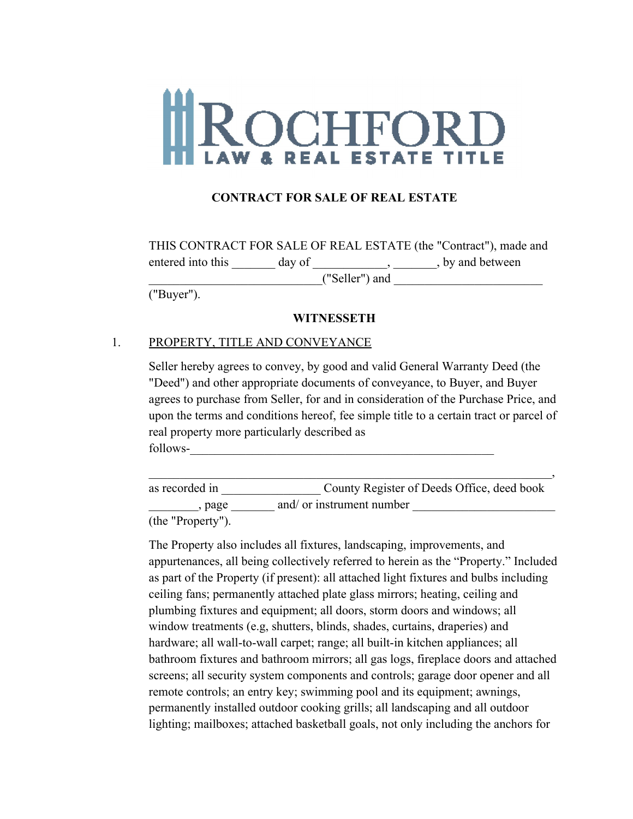# ROCHFORD **ESTATE**

## **CONTRACT FOR SALE OF REAL ESTATE**

|                   |        | THIS CONTRACT FOR SALE OF REAL ESTATE (the "Contract"), made and |
|-------------------|--------|------------------------------------------------------------------|
| entered into this | day of | , by and between                                                 |
| ("Seller") and    |        |                                                                  |

("Buyer").

#### **WITNESSETH**

#### 1. PROPERTY, TITLE AND CONVEYANCE

Seller hereby agrees to convey, by good and valid General Warranty Deed (the "Deed") and other appropriate documents of conveyance, to Buyer, and Buyer agrees to purchase from Seller, for and in consideration of the Purchase Price, and upon the terms and conditions hereof, fee simple title to a certain tract or parcel of real property more particularly described as follows-\_\_\_\_\_\_\_\_\_\_\_\_\_\_\_\_\_\_\_\_\_\_\_\_\_\_\_\_\_\_\_\_\_\_\_\_\_\_\_\_\_\_\_\_\_\_\_\_\_

as recorded in \_\_\_\_\_\_\_\_\_\_\_\_\_\_\_\_ County Register of Deeds Office, deed book  $\Box$ , page  $\Box$  and/ or instrument number

 $\overline{\phantom{a}}$  , and the contract of the contract of the contract of the contract of the contract of the contract of the contract of the contract of the contract of the contract of the contract of the contract of the contrac

(the "Property").

The Property also includes all fixtures, landscaping, improvements, and appurtenances, all being collectively referred to herein as the "Property." Included as part of the Property (if present): all attached light fixtures and bulbs including ceiling fans; permanently attached plate glass mirrors; heating, ceiling and plumbing fixtures and equipment; all doors, storm doors and windows; all window treatments (e.g, shutters, blinds, shades, curtains, draperies) and hardware; all wall-to-wall carpet; range; all built-in kitchen appliances; all bathroom fixtures and bathroom mirrors; all gas logs, fireplace doors and attached screens; all security system components and controls; garage door opener and all remote controls; an entry key; swimming pool and its equipment; awnings, permanently installed outdoor cooking grills; all landscaping and all outdoor lighting; mailboxes; attached basketball goals, not only including the anchors for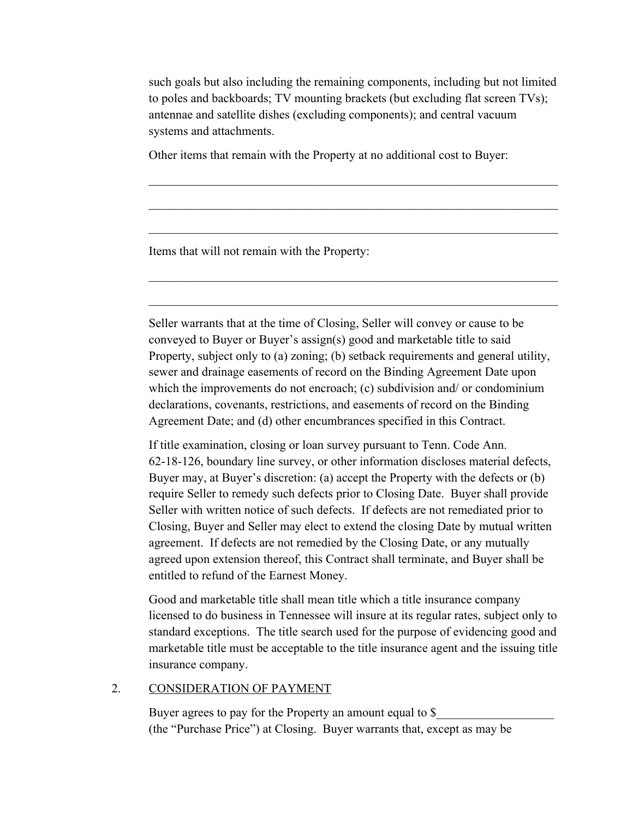such goals but also including the remaining components, including but not limited to poles and backboards; TV mounting brackets (but excluding flat screen TVs); antennae and satellite dishes (excluding components); and central vacuum systems and attachments.

 $\mathcal{L}_\mathcal{L} = \mathcal{L}_\mathcal{L} = \mathcal{L}_\mathcal{L} = \mathcal{L}_\mathcal{L} = \mathcal{L}_\mathcal{L} = \mathcal{L}_\mathcal{L} = \mathcal{L}_\mathcal{L} = \mathcal{L}_\mathcal{L} = \mathcal{L}_\mathcal{L} = \mathcal{L}_\mathcal{L} = \mathcal{L}_\mathcal{L} = \mathcal{L}_\mathcal{L} = \mathcal{L}_\mathcal{L} = \mathcal{L}_\mathcal{L} = \mathcal{L}_\mathcal{L} = \mathcal{L}_\mathcal{L} = \mathcal{L}_\mathcal{L}$ 

 $\mathcal{L}_\mathcal{L} = \mathcal{L}_\mathcal{L} = \mathcal{L}_\mathcal{L} = \mathcal{L}_\mathcal{L} = \mathcal{L}_\mathcal{L} = \mathcal{L}_\mathcal{L} = \mathcal{L}_\mathcal{L} = \mathcal{L}_\mathcal{L} = \mathcal{L}_\mathcal{L} = \mathcal{L}_\mathcal{L} = \mathcal{L}_\mathcal{L} = \mathcal{L}_\mathcal{L} = \mathcal{L}_\mathcal{L} = \mathcal{L}_\mathcal{L} = \mathcal{L}_\mathcal{L} = \mathcal{L}_\mathcal{L} = \mathcal{L}_\mathcal{L}$ 

 $\mathcal{L}_\mathcal{L} = \mathcal{L}_\mathcal{L} = \mathcal{L}_\mathcal{L} = \mathcal{L}_\mathcal{L} = \mathcal{L}_\mathcal{L} = \mathcal{L}_\mathcal{L} = \mathcal{L}_\mathcal{L} = \mathcal{L}_\mathcal{L} = \mathcal{L}_\mathcal{L} = \mathcal{L}_\mathcal{L} = \mathcal{L}_\mathcal{L} = \mathcal{L}_\mathcal{L} = \mathcal{L}_\mathcal{L} = \mathcal{L}_\mathcal{L} = \mathcal{L}_\mathcal{L} = \mathcal{L}_\mathcal{L} = \mathcal{L}_\mathcal{L}$ 

 $\mathcal{L}_\mathcal{L} = \mathcal{L}_\mathcal{L} = \mathcal{L}_\mathcal{L} = \mathcal{L}_\mathcal{L} = \mathcal{L}_\mathcal{L} = \mathcal{L}_\mathcal{L} = \mathcal{L}_\mathcal{L} = \mathcal{L}_\mathcal{L} = \mathcal{L}_\mathcal{L} = \mathcal{L}_\mathcal{L} = \mathcal{L}_\mathcal{L} = \mathcal{L}_\mathcal{L} = \mathcal{L}_\mathcal{L} = \mathcal{L}_\mathcal{L} = \mathcal{L}_\mathcal{L} = \mathcal{L}_\mathcal{L} = \mathcal{L}_\mathcal{L}$ 

 $\mathcal{L}_\mathcal{L} = \mathcal{L}_\mathcal{L} = \mathcal{L}_\mathcal{L} = \mathcal{L}_\mathcal{L} = \mathcal{L}_\mathcal{L} = \mathcal{L}_\mathcal{L} = \mathcal{L}_\mathcal{L} = \mathcal{L}_\mathcal{L} = \mathcal{L}_\mathcal{L} = \mathcal{L}_\mathcal{L} = \mathcal{L}_\mathcal{L} = \mathcal{L}_\mathcal{L} = \mathcal{L}_\mathcal{L} = \mathcal{L}_\mathcal{L} = \mathcal{L}_\mathcal{L} = \mathcal{L}_\mathcal{L} = \mathcal{L}_\mathcal{L}$ 

Other items that remain with the Property at no additional cost to Buyer:

Items that will not remain with the Property:

Seller warrants that at the time of Closing, Seller will convey or cause to be conveyed to Buyer or Buyer's assign(s) good and marketable title to said Property, subject only to (a) zoning; (b) setback requirements and general utility, sewer and drainage easements of record on the Binding Agreement Date upon which the improvements do not encroach; (c) subdivision and/ or condominium declarations, covenants, restrictions, and easements of record on the Binding Agreement Date; and (d) other encumbrances specified in this Contract.

If title examination, closing or loan survey pursuant to Tenn. Code Ann. 62-18-126, boundary line survey, or other information discloses material defects, Buyer may, at Buyer's discretion: (a) accept the Property with the defects or (b) require Seller to remedy such defects prior to Closing Date. Buyer shall provide Seller with written notice of such defects. If defects are not remediated prior to Closing, Buyer and Seller may elect to extend the closing Date by mutual written agreement. If defects are not remedied by the Closing Date, or any mutually agreed upon extension thereof, this Contract shall terminate, and Buyer shall be entitled to refund of the Earnest Money.

Good and marketable title shall mean title which a title insurance company licensed to do business in Tennessee will insure at its regular rates, subject only to standard exceptions. The title search used for the purpose of evidencing good and marketable title must be acceptable to the title insurance agent and the issuing title insurance company.

## 2. CONSIDERATION OF PAYMENT

Buyer agrees to pay for the Property an amount equal to \$ (the "Purchase Price") at Closing. Buyer warrants that, except as may be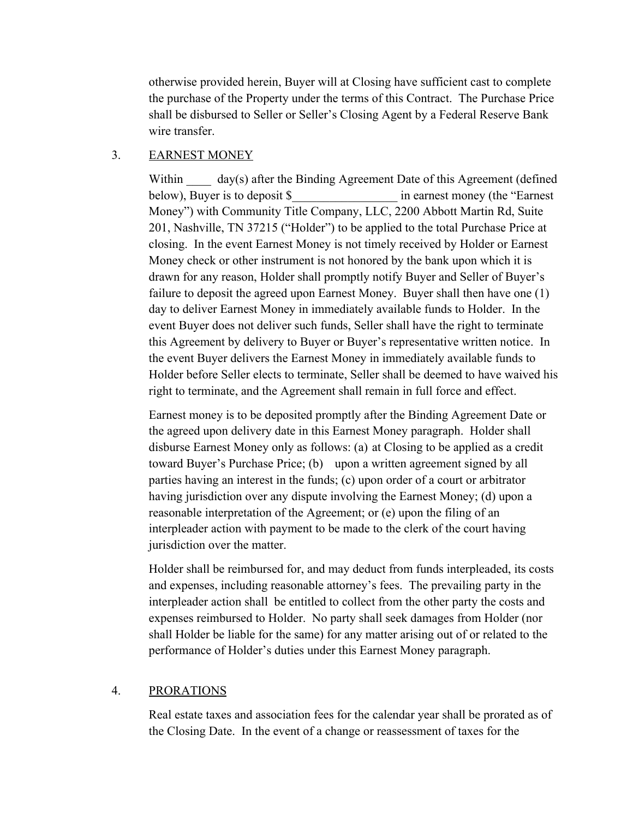otherwise provided herein, Buyer will at Closing have sufficient cast to complete the purchase of the Property under the terms of this Contract. The Purchase Price shall be disbursed to Seller or Seller's Closing Agent by a Federal Reserve Bank wire transfer.

## 3. EARNEST MONEY

Within  $\frac{day(s)}{s}$  after the Binding Agreement Date of this Agreement (defined below), Buyer is to deposit \$\_\_\_\_\_\_\_\_\_\_\_\_\_\_\_\_\_ in earnest money (the "Earnest Money") with Community Title Company, LLC, 2200 Abbott Martin Rd, Suite 201, Nashville, TN 37215 ("Holder") to be applied to the total Purchase Price at closing. In the event Earnest Money is not timely received by Holder or Earnest Money check or other instrument is not honored by the bank upon which it is drawn for any reason, Holder shall promptly notify Buyer and Seller of Buyer's failure to deposit the agreed upon Earnest Money. Buyer shall then have one (1) day to deliver Earnest Money in immediately available funds to Holder. In the event Buyer does not deliver such funds, Seller shall have the right to terminate this Agreement by delivery to Buyer or Buyer's representative written notice. In the event Buyer delivers the Earnest Money in immediately available funds to Holder before Seller elects to terminate, Seller shall be deemed to have waived his right to terminate, and the Agreement shall remain in full force and effect.

Earnest money is to be deposited promptly after the Binding Agreement Date or the agreed upon delivery date in this Earnest Money paragraph. Holder shall disburse Earnest Money only as follows: (a) at Closing to be applied as a credit toward Buyer's Purchase Price; (b) upon a written agreement signed by all parties having an interest in the funds; (c) upon order of a court or arbitrator having jurisdiction over any dispute involving the Earnest Money; (d) upon a reasonable interpretation of the Agreement; or (e) upon the filing of an interpleader action with payment to be made to the clerk of the court having jurisdiction over the matter.

Holder shall be reimbursed for, and may deduct from funds interpleaded, its costs and expenses, including reasonable attorney's fees. The prevailing party in the interpleader action shall be entitled to collect from the other party the costs and expenses reimbursed to Holder. No party shall seek damages from Holder (nor shall Holder be liable for the same) for any matter arising out of or related to the performance of Holder's duties under this Earnest Money paragraph.

## 4. PRORATIONS

Real estate taxes and association fees for the calendar year shall be prorated as of the Closing Date. In the event of a change or reassessment of taxes for the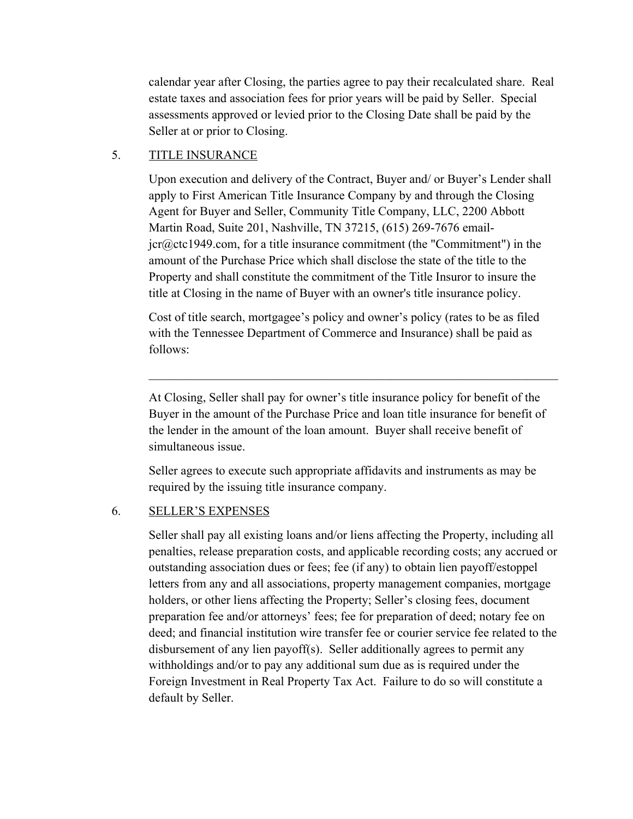calendar year after Closing, the parties agree to pay their recalculated share. Real estate taxes and association fees for prior years will be paid by Seller. Special assessments approved or levied prior to the Closing Date shall be paid by the Seller at or prior to Closing.

## 5. TITLE INSURANCE

Upon execution and delivery of the Contract, Buyer and/ or Buyer's Lender shall apply to First American Title Insurance Company by and through the Closing Agent for Buyer and Seller, Community Title Company, LLC, 2200 Abbott Martin Road, Suite 201, Nashville, TN 37215, (615) 269-7676 emailjcr@ctc1949.com, for a title insurance commitment (the "Commitment") in the amount of the Purchase Price which shall disclose the state of the title to the Property and shall constitute the commitment of the Title Insuror to insure the title at Closing in the name of Buyer with an owner's title insurance policy.

Cost of title search, mortgagee's policy and owner's policy (rates to be as filed with the Tennessee Department of Commerce and Insurance) shall be paid as follows:

At Closing, Seller shall pay for owner's title insurance policy for benefit of the Buyer in the amount of the Purchase Price and loan title insurance for benefit of the lender in the amount of the loan amount. Buyer shall receive benefit of simultaneous issue.

 $\mathcal{L}_\mathcal{L} = \mathcal{L}_\mathcal{L} = \mathcal{L}_\mathcal{L} = \mathcal{L}_\mathcal{L} = \mathcal{L}_\mathcal{L} = \mathcal{L}_\mathcal{L} = \mathcal{L}_\mathcal{L} = \mathcal{L}_\mathcal{L} = \mathcal{L}_\mathcal{L} = \mathcal{L}_\mathcal{L} = \mathcal{L}_\mathcal{L} = \mathcal{L}_\mathcal{L} = \mathcal{L}_\mathcal{L} = \mathcal{L}_\mathcal{L} = \mathcal{L}_\mathcal{L} = \mathcal{L}_\mathcal{L} = \mathcal{L}_\mathcal{L}$ 

Seller agrees to execute such appropriate affidavits and instruments as may be required by the issuing title insurance company.

## 6. SELLER'S EXPENSES

Seller shall pay all existing loans and/or liens affecting the Property, including all penalties, release preparation costs, and applicable recording costs; any accrued or outstanding association dues or fees; fee (if any) to obtain lien payoff/estoppel letters from any and all associations, property management companies, mortgage holders, or other liens affecting the Property; Seller's closing fees, document preparation fee and/or attorneys' fees; fee for preparation of deed; notary fee on deed; and financial institution wire transfer fee or courier service fee related to the disbursement of any lien payoff(s). Seller additionally agrees to permit any withholdings and/or to pay any additional sum due as is required under the Foreign Investment in Real Property Tax Act. Failure to do so will constitute a default by Seller.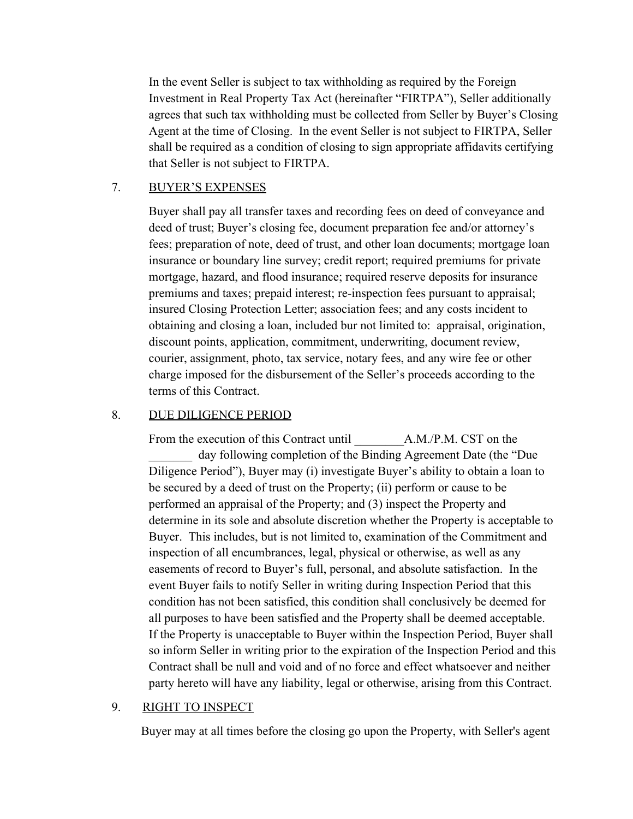In the event Seller is subject to tax withholding as required by the Foreign Investment in Real Property Tax Act (hereinafter "FIRTPA"), Seller additionally agrees that such tax withholding must be collected from Seller by Buyer's Closing Agent at the time of Closing. In the event Seller is not subject to FIRTPA, Seller shall be required as a condition of closing to sign appropriate affidavits certifying that Seller is not subject to FIRTPA.

## 7. BUYER'S EXPENSES

Buyer shall pay all transfer taxes and recording fees on deed of conveyance and deed of trust; Buyer's closing fee, document preparation fee and/or attorney's fees; preparation of note, deed of trust, and other loan documents; mortgage loan insurance or boundary line survey; credit report; required premiums for private mortgage, hazard, and flood insurance; required reserve deposits for insurance premiums and taxes; prepaid interest; re-inspection fees pursuant to appraisal; insured Closing Protection Letter; association fees; and any costs incident to obtaining and closing a loan, included bur not limited to: appraisal, origination, discount points, application, commitment, underwriting, document review, courier, assignment, photo, tax service, notary fees, and any wire fee or other charge imposed for the disbursement of the Seller's proceeds according to the terms of this Contract.

## 8. DUE DILIGENCE PERIOD

From the execution of this Contract until A.M./P.M. CST on the day following completion of the Binding Agreement Date (the "Due Diligence Period"), Buyer may (i) investigate Buyer's ability to obtain a loan to be secured by a deed of trust on the Property; (ii) perform or cause to be performed an appraisal of the Property; and (3) inspect the Property and determine in its sole and absolute discretion whether the Property is acceptable to Buyer. This includes, but is not limited to, examination of the Commitment and inspection of all encumbrances, legal, physical or otherwise, as well as any easements of record to Buyer's full, personal, and absolute satisfaction. In the event Buyer fails to notify Seller in writing during Inspection Period that this condition has not been satisfied, this condition shall conclusively be deemed for all purposes to have been satisfied and the Property shall be deemed acceptable. If the Property is unacceptable to Buyer within the Inspection Period, Buyer shall so inform Seller in writing prior to the expiration of the Inspection Period and this Contract shall be null and void and of no force and effect whatsoever and neither party hereto will have any liability, legal or otherwise, arising from this Contract.

## 9. RIGHT TO INSPECT

Buyer may at all times before the closing go upon the Property, with Seller's agent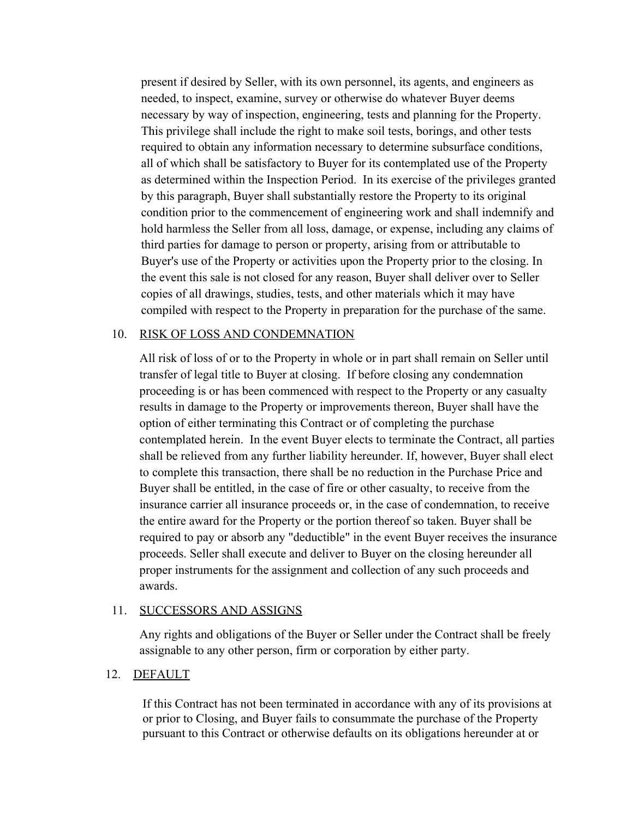present if desired by Seller, with its own personnel, its agents, and engineers as needed, to inspect, examine, survey or otherwise do whatever Buyer deems necessary by way of inspection, engineering, tests and planning for the Property. This privilege shall include the right to make soil tests, borings, and other tests required to obtain any information necessary to determine subsurface conditions, all of which shall be satisfactory to Buyer for its contemplated use of the Property as determined within the Inspection Period. In its exercise of the privileges granted by this paragraph, Buyer shall substantially restore the Property to its original condition prior to the commencement of engineering work and shall indemnify and hold harmless the Seller from all loss, damage, or expense, including any claims of third parties for damage to person or property, arising from or attributable to Buyer's use of the Property or activities upon the Property prior to the closing. In the event this sale is not closed for any reason, Buyer shall deliver over to Seller copies of all drawings, studies, tests, and other materials which it may have compiled with respect to the Property in preparation for the purchase of the same.

#### 10. RISK OF LOSS AND CONDEMNATION

All risk of loss of or to the Property in whole or in part shall remain on Seller until transfer of legal title to Buyer at closing. If before closing any condemnation proceeding is or has been commenced with respect to the Property or any casualty results in damage to the Property or improvements thereon, Buyer shall have the option of either terminating this Contract or of completing the purchase contemplated herein. In the event Buyer elects to terminate the Contract, all parties shall be relieved from any further liability hereunder. If, however, Buyer shall elect to complete this transaction, there shall be no reduction in the Purchase Price and Buyer shall be entitled, in the case of fire or other casualty, to receive from the insurance carrier all insurance proceeds or, in the case of condemnation, to receive the entire award for the Property or the portion thereof so taken. Buyer shall be required to pay or absorb any "deductible" in the event Buyer receives the insurance proceeds. Seller shall execute and deliver to Buyer on the closing hereunder all proper instruments for the assignment and collection of any such proceeds and awards.

#### 11. SUCCESSORS AND ASSIGNS

Any rights and obligations of the Buyer or Seller under the Contract shall be freely assignable to any other person, firm or corporation by either party.

## 12. DEFAULT

If this Contract has not been terminated in accordance with any of its provisions at or prior to Closing, and Buyer fails to consummate the purchase of the Property pursuant to this Contract or otherwise defaults on its obligations hereunder at or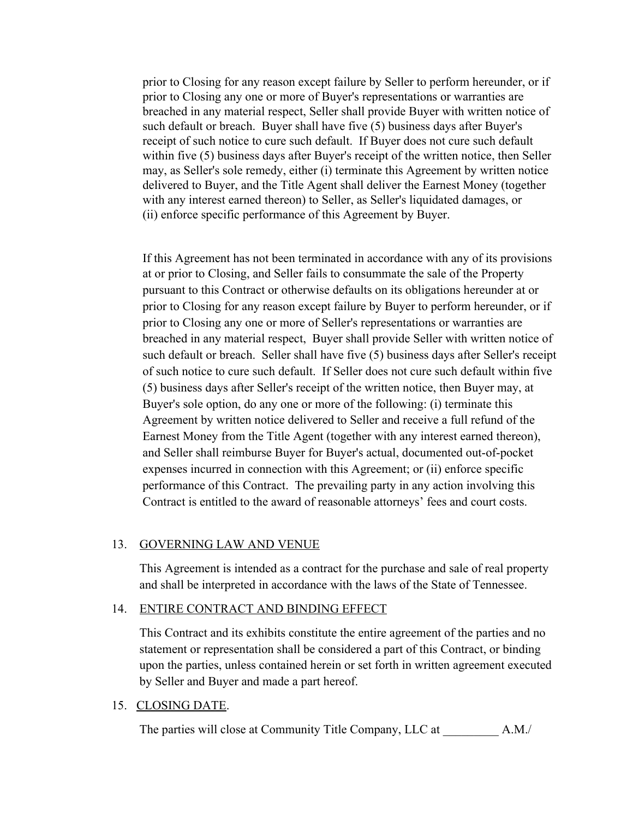prior to Closing for any reason except failure by Seller to perform hereunder, or if prior to Closing any one or more of Buyer's representations or warranties are breached in any material respect, Seller shall provide Buyer with written notice of such default or breach. Buyer shall have five (5) business days after Buyer's receipt of such notice to cure such default. If Buyer does not cure such default within five (5) business days after Buyer's receipt of the written notice, then Seller may, as Seller's sole remedy, either (i) terminate this Agreement by written notice delivered to Buyer, and the Title Agent shall deliver the Earnest Money (together with any interest earned thereon) to Seller, as Seller's liquidated damages, or (ii) enforce specific performance of this Agreement by Buyer.

If this Agreement has not been terminated in accordance with any of its provisions at or prior to Closing, and Seller fails to consummate the sale of the Property pursuant to this Contract or otherwise defaults on its obligations hereunder at or prior to Closing for any reason except failure by Buyer to perform hereunder, or if prior to Closing any one or more of Seller's representations or warranties are breached in any material respect, Buyer shall provide Seller with written notice of such default or breach. Seller shall have five (5) business days after Seller's receipt of such notice to cure such default. If Seller does not cure such default within five (5) business days after Seller's receipt of the written notice, then Buyer may, at Buyer's sole option, do any one or more of the following: (i) terminate this Agreement by written notice delivered to Seller and receive a full refund of the Earnest Money from the Title Agent (together with any interest earned thereon), and Seller shall reimburse Buyer for Buyer's actual, documented out-of-pocket expenses incurred in connection with this Agreement; or (ii) enforce specific performance of this Contract. The prevailing party in any action involving this Contract is entitled to the award of reasonable attorneys' fees and court costs.

#### 13. GOVERNING LAW AND VENUE

This Agreement is intended as a contract for the purchase and sale of real property and shall be interpreted in accordance with the laws of the State of Tennessee.

#### 14. ENTIRE CONTRACT AND BINDING EFFECT

This Contract and its exhibits constitute the entire agreement of the parties and no statement or representation shall be considered a part of this Contract, or binding upon the parties, unless contained herein or set forth in written agreement executed by Seller and Buyer and made a part hereof.

#### 15. CLOSING DATE.

The parties will close at Community Title Company, LLC at  $A.M./$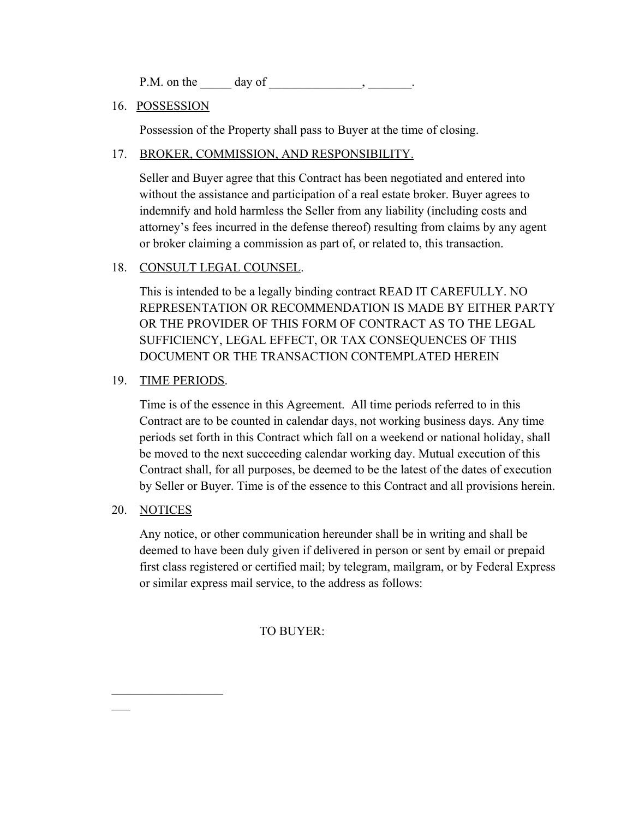P.M. on the  $\_\_\_\_\_\_\_\_\$  day of  $\_\_\_\_\_\_\_\_\_\_\_\_\_\_\_\_\_\_$ 

## 16. POSSESSION

Possession of the Property shall pass to Buyer at the time of closing.

## 17. BROKER, COMMISSION, AND RESPONSIBILITY.

Seller and Buyer agree that this Contract has been negotiated and entered into without the assistance and participation of a real estate broker. Buyer agrees to indemnify and hold harmless the Seller from any liability (including costs and attorney's fees incurred in the defense thereof) resulting from claims by any agent or broker claiming a commission as part of, or related to, this transaction.

## 18. CONSULT LEGAL COUNSEL.

This is intended to be a legally binding contract READ IT CAREFULLY. NO REPRESENTATION OR RECOMMENDATION IS MADE BY EITHER PARTY OR THE PROVIDER OF THIS FORM OF CONTRACT AS TO THE LEGAL SUFFICIENCY, LEGAL EFFECT, OR TAX CONSEQUENCES OF THIS DOCUMENT OR THE TRANSACTION CONTEMPLATED HEREIN

## 19. TIME PERIODS.

Time is of the essence in this Agreement. All time periods referred to in this Contract are to be counted in calendar days, not working business days. Any time periods set forth in this Contract which fall on a weekend or national holiday, shall be moved to the next succeeding calendar working day. Mutual execution of this Contract shall, for all purposes, be deemed to be the latest of the dates of execution by Seller or Buyer. Time is of the essence to this Contract and all provisions herein.

## 20. NOTICES

 $\mathcal{L}_\text{max}$  , where  $\mathcal{L}_\text{max}$ 

 $\overline{\phantom{a}}$ 

Any notice, or other communication hereunder shall be in writing and shall be deemed to have been duly given if delivered in person or sent by email or prepaid first class registered or certified mail; by telegram, mailgram, or by Federal Express or similar express mail service, to the address as follows:

TO BUYER: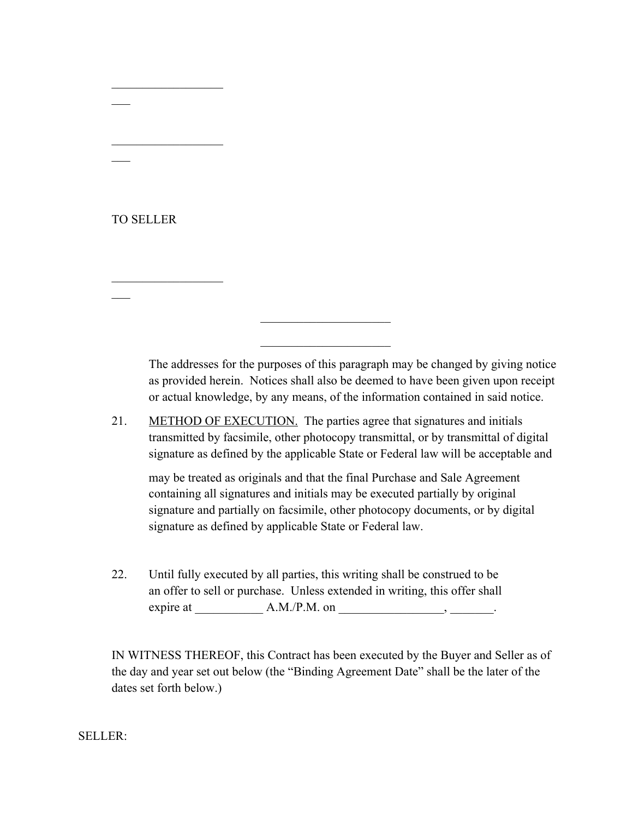## TO SELLER

 $\overline{\phantom{a}}$ 

 $\overline{\phantom{a}}$ 

 $\overline{\phantom{a}}$ 

 $\mathcal{L}_\text{max}$  , where  $\mathcal{L}_\text{max}$ 

 $\mathcal{L}_\text{max}$  , where  $\mathcal{L}_\text{max}$ 

 $\mathcal{L}_\text{max}$  , where  $\mathcal{L}_\text{max}$ 

The addresses for the purposes of this paragraph may be changed by giving notice as provided herein. Notices shall also be deemed to have been given upon receipt or actual knowledge, by any means, of the information contained in said notice.

21. METHOD OF EXECUTION. The parties agree that signatures and initials transmitted by facsimile, other photocopy transmittal, or by transmittal of digital signature as defined by the applicable State or Federal law will be acceptable and

 $\mathcal{L}_\text{max}$  , where  $\mathcal{L}_\text{max}$  , we have the set of  $\mathcal{L}_\text{max}$ 

 $\mathcal{L}_\text{max}$  , where  $\mathcal{L}_\text{max}$  , we have the set of  $\mathcal{L}_\text{max}$ 

may be treated as originals and that the final Purchase and Sale Agreement containing all signatures and initials may be executed partially by original signature and partially on facsimile, other photocopy documents, or by digital signature as defined by applicable State or Federal law.

22. Until fully executed by all parties, this writing shall be construed to be an offer to sell or purchase. Unless extended in writing, this offer shall expire at  $\_\_\_\_\_\_\_\$ A.M./P.M. on  $\_\_\_\_\_\_\_\_\_\_\_\_\_$ 

IN WITNESS THEREOF, this Contract has been executed by the Buyer and Seller as of the day and year set out below (the "Binding Agreement Date" shall be the later of the dates set forth below.)

SELLER: